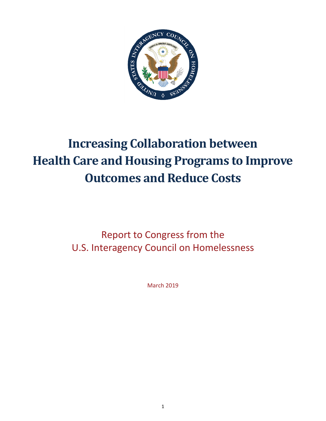

# **Increasing Collaboration between Health Care and Housing Programs to Improve Outcomes and Reduce Costs**

Report to Congress from the U.S. Interagency Council on Homelessness

March 2019

1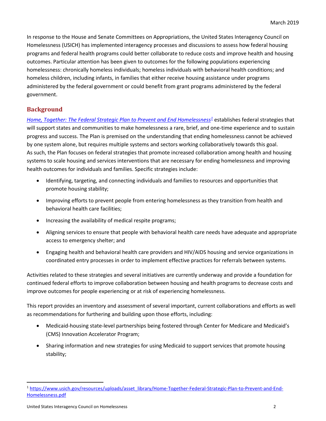In response to the House and Senate Committees on Appropriations, the United States Interagency Council on Homelessness (USICH) has implemented interagency processes and discussions to assess how federal housing programs and federal health programs could better collaborate to reduce costs and improve health and housing outcomes. Particular attention has been given to outcomes for the following populations experiencing homelessness: chronically homeless individuals; homeless individuals with behavioral health conditions; and homeless children, including infants, in families that either receive housing assistance under programs administered by the federal government or could benefit from grant programs administered by the federal government.

# **Background**

*[Home, Together: The Federal Strategic Plan to Prevent and End](https://www.usich.gov/resources/uploads/asset_library/Home-Together-Federal-Strategic-Plan-to-Prevent-and-End-Homelessness.pdf) Homelessness<sup>1</sup> establishes federal strategies that* will support states and communities to make homelessness a rare, brief, and one-time experience and to sustain progress and success. The Plan is premised on the understanding that ending homelessness cannot be achieved by one system alone, but requires multiple systems and sectors working collaboratively towards this goal. As such, the Plan focuses on federal strategies that promote increased collaboration among health and housing systems to scale housing and services interventions that are necessary for ending homelessness and improving health outcomes for individuals and families. Specific strategies include:

- Identifying, targeting, and connecting individuals and families to resources and opportunities that promote housing stability;
- Improving efforts to prevent people from entering homelessness as they transition from health and behavioral health care facilities;
- Increasing the availability of medical respite programs;
- Aligning services to ensure that people with behavioral health care needs have adequate and appropriate access to emergency shelter; and
- Engaging health and behavioral health care providers and HIV/AIDS housing and service organizations in coordinated entry processes in order to implement effective practices for referrals between systems.

Activities related to these strategies and several initiatives are currently underway and provide a foundation for continued federal efforts to improve collaboration between housing and health programs to decrease costs and improve outcomes for people experiencing or at risk of experiencing homelessness.

This report provides an inventory and assessment of several important, current collaborations and efforts as well as recommendations for furthering and building upon those efforts, including:

- Medicaid-housing state-level partnerships being fostered through Center for Medicare and Medicaid's (CMS) Innovation Accelerator Program;
- Sharing information and new strategies for using Medicaid to support services that promote housing stability;

<span id="page-1-0"></span> <sup>1</sup> [https://www.usich.gov/resources/uploads/asset\\_library/Home-Together-Federal-Strategic-Plan-to-Prevent-and-End-](https://www.usich.gov/resources/uploads/asset_library/Home-Together-Federal-Strategic-Plan-to-Prevent-and-End-Homelessness.pdf)[Homelessness.pdf](https://www.usich.gov/resources/uploads/asset_library/Home-Together-Federal-Strategic-Plan-to-Prevent-and-End-Homelessness.pdf)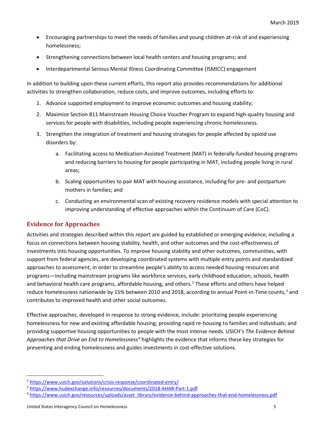- Encouraging partnerships to meet the needs of families and young children at-risk of and experiencing homelessness;
- Strengthening connections between local health centers and housing programs; and
- Interdepartmental Serious Mental Illness Coordinating Committee (ISMICC) engagement

In addition to building upon these current efforts, this report also provides recommendations for additional activities to strengthen collaboration, reduce costs, and improve outcomes, including efforts to:

- 1. Advance supported employment to improve economic outcomes and housing stability;
- 2. Maximize Section 811 Mainstream Housing Choice Voucher Program to expand high-quality housing and services for people with disabilities, including people experiencing chronic homelessness.
- 3. Strengthen the integration of treatment and housing strategies for people affected by opioid use disorders by:
	- a. Facilitating access to Medication-Assisted Treatment (MAT) in federally-funded housing programs and reducing barriers to housing for people participating in MAT, including people living in rural areas;
	- b. Scaling opportunities to pair MAT with housing assistance, including for pre- and postpartum mothers in families; and
	- c. Conducting an environmental scan of existing recovery residence models with special attention to improving understanding of effective approaches within the Continuum of Care (CoC).

## **Evidence for Approaches**

Activities and strategies described within this report are guided by established or emerging evidence, including a focus on connections between housing stability, health, and other outcomes and the cost-effectiveness of investments into housing opportunities. To improve housing stability and other outcomes, communities, with support from federal agencies, are developing coordinated systems with multiple entry points and standardized approaches to assessment, in order to streamline people's ability to access needed housing resources and programs—including mainstream programs like workforce services, early childhood education, schools, health and behavioral health care programs, affordable housing, and others.<sup>[2](#page-2-0)</sup> These efforts and others have helped reduce homelessness nationwide by 15% between 2010 and 2018, according to annual Point-in-Time counts,<sup>[3](#page-2-1)</sup> and contributes to improved health and other social outcomes.

Effective approaches, developed in response to strong evidence, include: prioritizing people experiencing homelessness for new and existing affordable housing; providing rapid re-housing to families and individuals; and providing supportive housing opportunities to people with the most intense needs. USICH's *The Evidence Behind Approaches that Drive an End to Homelessness[4](#page-2-2)* highlights the evidence that informs these key strategies for preventing and ending homelessness and guides investments in cost-effective solutions.

<span id="page-2-0"></span> <sup>2</sup> <https://www.usich.gov/solutions/crisis-response/coordinated-entry/>

<span id="page-2-1"></span><sup>3</sup> <https://www.hudexchange.info/resources/documents/2018-AHAR-Part-1.pdf>

<span id="page-2-2"></span><sup>4</sup> [https://www.usich.gov/resources/uploads/asset\\_library/evidence-behind-approaches-that-end-homelessness.pdf](https://www.usich.gov/resources/uploads/asset_library/evidence-behind-approaches-that-end-homelessness.pdf)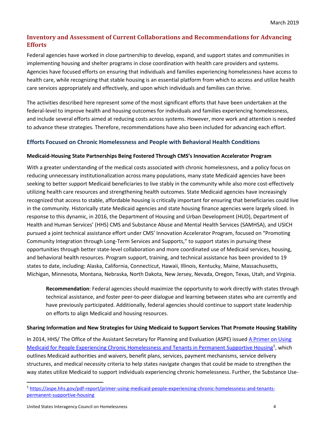## **Inventory and Assessment of Current Collaborations and Recommendations for Advancing Efforts**

Federal agencies have worked in close partnership to develop, expand, and support states and communities in implementing housing and shelter programs in close coordination with health care providers and systems. Agencies have focused efforts on ensuring that individuals and families experiencing homelessness have access to health care, while recognizing that stable housing is an essential platform from which to access and utilize health care services appropriately and effectively, and upon which individuals and families can thrive.

The activities described here represent some of the most significant efforts that have been undertaken at the federal-level to improve health and housing outcomes for individuals and families experiencing homelessness, and include several efforts aimed at reducing costs across systems. However, more work and attention is needed to advance these strategies. Therefore, recommendations have also been included for advancing each effort.

## **Efforts Focused on Chronic Homelessness and People with Behavioral Health Conditions**

#### **Medicaid-Housing State Partnerships Being Fostered Through CMS's Innovation Accelerator Program**

With a greater understanding of the medical costs associated with chronic homelessness, and a policy focus on reducing unnecessary institutionalization across many populations, many state Medicaid agencies have been seeking to better support Medicaid beneficiaries to live stably in the community while also more cost-effectively utilizing health care resources and strengthening health outcomes. State Medicaid agencies have increasingly recognized that access to stable, affordable housing is critically important for ensuring that beneficiaries could live in the community. Historically state Medicaid agencies and state housing finance agencies were largely siloed. In response to this dynamic, in 2016, the Department of Housing and Urban Development (HUD), Department of Health and Human Services' (HHS) CMS and Substance Abuse and Mental Health Services (SAMHSA), and USICH pursued a joint technical assistance effort under CMS' Innovation Accelerator Program, focused on "Promoting Community Integration through Long-Term Services and Supports," to support states in pursuing these opportunities through better state-level collaboration and more coordinated use of Medicaid services, housing, and behavioral health resources. Program support, training, and technical assistance has been provided to 19 states to date, including: Alaska, California, Connecticut, Hawaii, Illinois, Kentucky, Maine, Massachusetts, Michigan, Minnesota, Montana, Nebraska, North Dakota, New Jersey, Nevada, Oregon, Texas, Utah, and Virginia.

**Recommendation**: Federal agencies should maximize the opportunity to work directly with states through technical assistance, and foster peer-to-peer dialogue and learning between states who are currently and have previously participated. Additionally, federal agencies should continue to support state leadership on efforts to align Medicaid and housing resources.

#### **Sharing Information and New Strategies for Using Medicaid to Support Services That Promote Housing Stability**

In 2014, HHS/ The Office of the Assistant Secretary for Planning and Evaluation (ASPE) issued A Primer on Using [Medicaid for People Experiencing Chronic Homelessness and Tenants in Permanent Supportive Housing](https://aspe.hhs.gov/pdf-report/primer-using-medicaid-people-experiencing-chronic-homelessness-and-tenants-permanent-supportive-housing)<sup>[5](#page-3-0)</sup>, which outlines Medicaid authorities and waivers, benefit plans, services, payment mechanisms, service delivery structures, and medical necessity criteria to help states navigate changes that could be made to strengthen the way states utilize Medicaid to support individuals experiencing chronic homelessness. Further, the Substance Use-

<span id="page-3-0"></span> <sup>5</sup> [https://aspe.hhs.gov/pdf-report/primer-using-medicaid-people-experiencing-chronic-homelessness-and-tenants](https://aspe.hhs.gov/pdf-report/primer-using-medicaid-people-experiencing-chronic-homelessness-and-tenants-permanent-supportive-housing)[permanent-supportive-housing](https://aspe.hhs.gov/pdf-report/primer-using-medicaid-people-experiencing-chronic-homelessness-and-tenants-permanent-supportive-housing)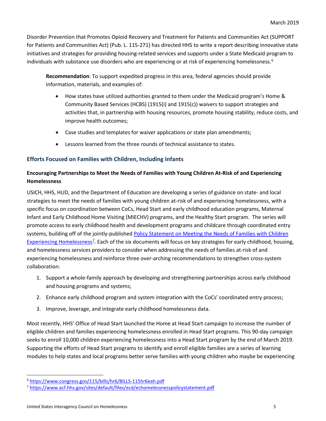Disorder Prevention that Promotes Opioid Recovery and Treatment for Patients and Communities Act (SUPPORT for Patients and Communities Act) (Pub. L. 115-271) has directed HHS to write a report describing innovative state initiatives and strategies for providing housing-related services and supports under a State Medicaid program to individuals with substance use disorders who are experiencing or at risk of experiencing homelessness.<sup>[6](#page-4-0)</sup>

**Recommendation**: To support expedited progress in this area, federal agencies should provide information, materials, and examples of:

- How states have utilized authorities granted to them under the Medicaid program's Home & Community Based Services (HCBS) (1915(i) and 1915(c)) waivers to support strategies and activities that, in partnership with housing resources, promote housing stability, reduce costs, and improve health outcomes;
- Case studies and templates for waiver applications or state plan amendments;
- Lessons learned from the three rounds of technical assistance to states.

#### **Efforts Focused on Families with Children, Including Infants**

### **Encouraging Partnerships to Meet the Needs of Families with Young Children At-Risk of and Experiencing Homelessness**

USICH, HHS, HUD, and the Department of Education are developing a series of guidance on state- and local strategies to meet the needs of families with young children at-risk of and experiencing homelessness, with a specific focus on coordination between CoCs, Head Start and early childhood education programs, Maternal Infant and Early Childhood Home Visiting (MIECHV) programs, and the Healthy Start program. The series will promote access to early childhood health and development programs and childcare through coordinated entry systems, building off of the jointly-published Policy Statement on Meeting the Needs of Families with Children [Experiencing Homelessness](https://www.acf.hhs.gov/sites/default/files/ecd/echomelessnesspolicystatement.pdf)<sup>[7](#page-4-1)</sup>. Each of the six documents will focus on key strategies for early childhood, housing, and homelessness services providers to consider when addressing the needs of families at-risk of and experiencing homelessness and reinforce three over-arching recommendations to strengthen cross-system collaboration:

- 1. Support a whole-family approach by developing and strengthening partnerships across early childhood and housing programs and systems;
- 2. Enhance early childhood program and system integration with the CoCs' coordinated entry process;
- 3. Improve, leverage, and integrate early childhood homelessness data.

Most recently, HHS' Office of Head Start launched the Home at Head Start campaign to increase the number of eligible children and families experiencing homelessness enrolled in Head Start programs. This 90-day campaign seeks to enroll 10,000 children experiencing homelessness into a Head Start program by the end of March 2019. Supporting the efforts of Head Start programs to identify and enroll eligible families are a series of learning modules to help states and local programs better serve families with young children who maybe be experiencing

<span id="page-4-0"></span> <sup>6</sup> <https://www.congress.gov/115/bills/hr6/BILLS-115hr6eah.pdf>

<span id="page-4-1"></span><sup>7</sup> https://www.acf.hhs.gov/sites/default/files/ecd/echomelessnesspolicystatement.pdf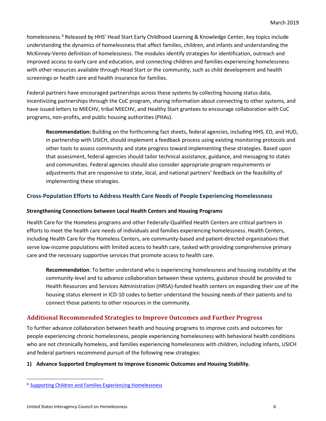homelessness.<sup>[8](#page-5-0)</sup> Released by HHS' Head Start Early Childhood Learning & Knowledge Center, key topics include understanding the dynamics of homelessness that affect families, children, and infants and understanding the McKinney-Vento definition of homelessness. The modules identify strategies for identification, outreach and improved access to early care and education, and connecting children and families experiencing homelessness with other resources available through Head Start or the community, such as child development and health screenings or health care and health insurance for families.

Federal partners have encouraged partnerships across these systems by collecting housing status data, incentivizing partnerships through the CoC program, sharing information about connecting to other systems, and have issued letters to MIECHV, tribal MIECHV, and Healthy Start grantees to encourage collaboration with CoC programs, non-profits, and public housing authorities (PHAs).

**Recommendation:** Building on the forthcoming fact sheets, federal agencies, including HHS, ED, and HUD, in partnership with USICH, should implement a feedback process using existing monitoring protocols and other tools to assess community and state progress toward implementing these strategies. Based upon that assessment, federal agencies should tailor technical assistance, guidance, and messaging to states and communities. Federal agencies should also consider appropriate program requirements or adjustments that are responsive to state, local, and national partners' feedback on the feasibility of implementing these strategies.

#### **Cross-Population Efforts to Address Health Care Needs of People Experiencing Homelessness**

#### **Strengthening Connections between Local Health Centers and Housing Programs**

Health Care for the Homeless programs and other Federally-Qualified Health Centers are critical partners in efforts to meet the health care needs of individuals and families experiencing homelessness. Health Centers, including Health Care for the Homeless Centers, are community-based and patient-directed organizations that serve low-income populations with limited access to health care, tasked with providing comprehensive primary care and the necessary supportive services that promote access to health care.

**Recommendation**: To better understand who is experiencing homelessness and housing instability at the community-level and to advance collaboration between these systems, guidance should be provided to Health Resources and Services Administration (HRSA)-funded health centers on expanding their use of the housing status element in ICD-10 codes to better understand the housing needs of their patients and to connect those patients to other resources in the community.

## **Additional Recommended Strategies to Improve Outcomes and Further Progress**

To further advance collaboration between health and housing programs to improve costs and outcomes for people experiencing chronic homelessness, people experiencing homelessness with behavioral health conditions who are not chronically homeless, and families experiencing homelessness with children, including infants, USICH and federal partners recommend pursuit of the following new strategies:

#### **1) Advance Supported Employment to Improve Economic Outcomes and Housing Stability.**

<span id="page-5-0"></span> <sup>8</sup> [Supporting Children and Families Experiencing Homelessness](https://eclkc.ohs.acf.hhs.gov/family-support-well-being/article/supporting-children-families-experiencing-homelessness)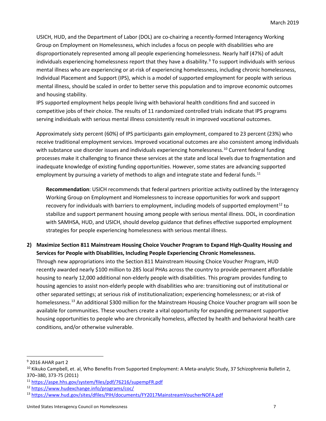USICH, HUD, and the Department of Labor (DOL) are co-chairing a recently-formed Interagency Working Group on Employment on Homelessness, which includes a focus on people with disabilities who are disproportionately represented among all people experiencing homelessness. Nearly half (47%) of adult individuals experiencing homelessness report that they have a disability. [9](#page-6-0) To support individuals with serious mental illness who are experiencing or at-risk of experiencing homelessness, including chronic homelessness, Individual Placement and Support (IPS), which is a model of supported employment for people with serious mental illness, should be scaled in order to better serve this population and to improve economic outcomes and housing stability.

IPS supported employment helps people living with behavioral health conditions find and succeed in competitive jobs of their choice. The results of 11 randomized controlled trials indicate that IPS programs serving individuals with serious mental illness consistently result in improved vocational outcomes.

Approximately sixty percent (60%) of IPS participants gain employment, compared to 23 percent (23%) who receive traditional employment services. Improved vocational outcomes are also consistent among individuals with substance use disorder issues and individuals experiencing homelessness.<sup>[10](#page-6-1)</sup> Current federal funding processes make it challenging to finance these services at the state and local levels due to fragmentation and inadequate knowledge of existing funding opportunities. However, some states are advancing supported employment by pursuing a variety of methods to align and integrate state and federal funds.<sup>[11](#page-6-2)</sup>

**Recommendation**: USICH recommends that federal partners prioritize activity outlined by the Interagency Working Group on Employment and Homelessness to increase opportunities for work and support recovery for individuals with barriers to employment, including models of supported employment<sup>[12](#page-6-3)</sup> to stabilize and support permanent housing among people with serious mental illness. DOL, in coordination with SAMHSA, HUD, and USICH, should develop guidance that defines effective supported employment strategies for people experiencing homelessness with serious mental illness.

**2) Maximize Section 811 Mainstream Housing Choice Voucher Program to Expand High-Quality Housing and Services for People with Disabilities, Including People Experiencing Chronic Homelessness.**  Through new appropriations into the Section 811 Mainstream Housing Choice Voucher Program, HUD recently awarded nearly \$100 million to 285 local PHAs across the country to provide permanent affordable housing to nearly 12,000 additional non-elderly people with disabilities. This program provides funding to housing agencies to assist non-elderly people with disabilities who are: transitioning out of institutional or other separated settings; at serious risk of institutionalization; experiencing homelessness; or at-risk of homelessness.[13](#page-6-4) An additional \$300 million for the Mainstream Housing Choice Voucher program will soon be available for communities. These vouchers create a vital opportunity for expanding permanent supportive housing opportunities to people who are chronically homeless, affected by health and behavioral health care conditions, and/or otherwise vulnerable.

<span id="page-6-0"></span> <sup>9</sup> 2016 AHAR part 2

<span id="page-6-1"></span><sup>&</sup>lt;sup>10</sup> Kikuko Campbell, et. al, Who Benefits From Supported Employment: A Meta-analytic Study, 37 Schizophrenia Bulletin 2, 370–380, 373-75 (2011)

<span id="page-6-2"></span><sup>11</sup> <https://aspe.hhs.gov/system/files/pdf/76216/supempFR.pdf>

<span id="page-6-3"></span><sup>12</sup> <https://www.hudexchange.info/programs/coc/>

<span id="page-6-4"></span><sup>13</sup> <https://www.hud.gov/sites/dfiles/PIH/documents/FY2017MainstreamVoucherNOFA.pdf>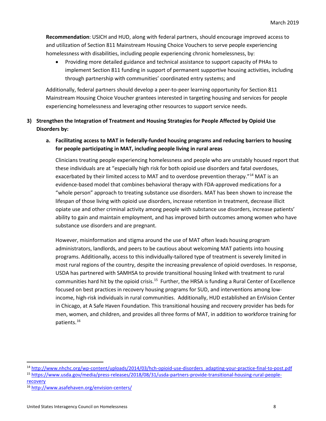**Recommendation**: USICH and HUD, along with federal partners, should encourage improved access to and utilization of Section 811 Mainstream Housing Choice Vouchers to serve people experiencing homelessness with disabilities, including people experiencing chronic homelessness, by:

• Providing more detailed guidance and technical assistance to support capacity of PHAs to implement Section 811 funding in support of permanent supportive housing activities, including through partnership with communities' coordinated entry systems; and

Additionally, federal partners should develop a peer-to-peer learning opportunity for Section 811 Mainstream Housing Choice Voucher grantees interested in targeting housing and services for people experiencing homelessness and leveraging other resources to support service needs.

- **3) Strengthen the Integration of Treatment and Housing Strategies for People Affected by Opioid Use Disorders by:**
	- **a. Facilitating access to MAT in federally-funded housing programs and reducing barriers to housing for people participating in MAT, including people living in rural areas**

Clinicians treating people experiencing homelessness and people who are unstably housed report that these individuals are at "especially high risk for both opioid use disorders and fatal overdoses, exacerbated by their limited access to MAT and to overdose prevention therapy."<sup>[14](#page-7-0)</sup> MAT is an evidence-based model that combines behavioral therapy with FDA-approved medications for a "whole person" approach to treating substance use disorders. MAT has been shown to increase the lifespan of those living with opioid use disorders, increase retention in treatment, decrease illicit opiate use and other criminal activity among people with substance use disorders, increase patients' ability to gain and maintain employment, and has improved birth outcomes among women who have substance use disorders and are pregnant.

However, misinformation and stigma around the use of MAT often leads housing program administrators, landlords, and peers to be cautious about welcoming MAT patients into housing programs. Additionally, access to this individually-tailored type of treatment is severely limited in most rural regions of the country, despite the increasing prevalence of opioid overdoses. In response, USDA has partnered with SAMHSA to provide transitional housing linked with treatment to rural communities hard hit by the opioid crisis.<sup>15</sup> Further, the HRSA is funding a Rural Center of Excellence focused on best practices in recovery housing programs for SUD, and interventions among lowincome, high-risk individuals in rural communities. Additionally, HUD established an EnVision Center in Chicago, at A Safe Haven Foundation. This transitional housing and recovery provider has beds for men, women, and children, and provides all three forms of MAT, in addition to workforce training for patients.[16](#page-7-2)

<span id="page-7-1"></span><span id="page-7-0"></span> <sup>14</sup> [http://www.nhchc.org/wp-content/uploads/2014/03/hch-opioid-use-disorders\\_adapting-your-practice-final-to-post.pdf](http://www.nhchc.org/wp-content/uploads/2014/03/hch-opioid-use-disorders_adapting-your-practice-final-to-post.pdf) <sup>15</sup> [https://www.usda.gov/media/press-releases/2018/08/31/usda-partners-provide-transitional-housing-rural-people-](https://www.usda.gov/media/press-releases/2018/08/31/usda-partners-provide-transitional-housing-rural-people-recovery)

[recovery](https://www.usda.gov/media/press-releases/2018/08/31/usda-partners-provide-transitional-housing-rural-people-recovery)

<span id="page-7-2"></span><sup>16</sup> <http://www.asafehaven.org/envision-centers/>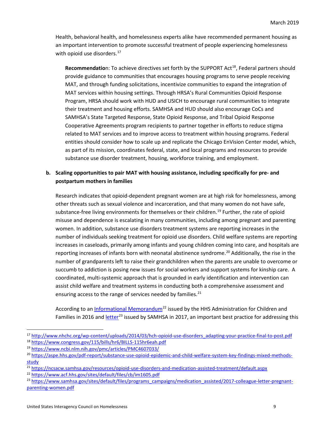Health, behavioral health, and homelessness experts alike have recommended permanent housing as an important intervention to promote successful treatment of people experiencing homelessness with opioid use disorders. $17$ 

**Recommendatio**n: To achieve directives set forth by the SUPPORT Act<sup>[18](#page-8-1)</sup>, Federal partners should provide guidance to communities that encourages housing programs to serve people receiving MAT, and through funding solicitations, incentivize communities to expand the integration of MAT services within housing settings. Through HRSA's Rural Communities Opioid Response Program, HRSA should work with HUD and USICH to encourage rural communities to integrate their treatment and housing efforts. SAMHSA and HUD should also encourage CoCs and SAMHSA's State Targeted Response, State Opioid Response, and Tribal Opioid Response Cooperative Agreements program recipients to partner together in efforts to reduce stigma related to MAT services and to improve access to treatment within housing programs. Federal entities should consider how to scale up and replicate the Chicago EnVision Center model, which, as part of its mission, coordinates federal, state, and local programs and resources to provide substance use disorder treatment, housing, workforce training, and employment.

#### **b. Scaling opportunities to pair MAT with housing assistance, including specifically for pre- and postpartum mothers in families**

Research indicates that opioid-dependent pregnant women are at high risk for homelessness, among other threats such as sexual violence and incarceration, and that many women do not have safe, substance-free living environments for themselves or their children.<sup>[19](#page-8-2)</sup> Further, the rate of opioid misuse and dependence is escalating in many communities, including among pregnant and parenting women. In addition, substance use disorders treatment systems are reporting increases in the number of individuals seeking treatment for opioid use disorders. Child welfare systems are reporting increases in caseloads, primarily among infants and young children coming into care, and hospitals are reporting increases of infants born with neonatal abstinence syndrome.<sup>[20](#page-8-3)</sup> Additionally, the rise in the number of grandparents left to raise their grandchildren when the parents are unable to overcome or succumb to addiction is posing new issues for social workers and support systems for kinship care. A coordinated, multi-systemic approach that is grounded in early identification and intervention can assist child welfare and treatment systems in conducting both a comprehensive assessment and ensuring access to the range of services needed by families. $^{21}$  $^{21}$  $^{21}$ 

According to an [Informational Memorandum](https://www.acf.hhs.gov/sites/default/files/cb/im1605.pdf)<sup>[22](#page-8-5)</sup> issued by the HHS Administration for Children and Families in 2016 and [letter](https://www.samhsa.gov/sites/default/files/programs_campaigns/medication_assisted/2017-colleague-letter-pregnant-parenting-women.pdf)<sup>[23](#page-8-6)</sup> issued by SAMHSA in 2017, an important best practice for addressing this

<span id="page-8-0"></span><sup>17</sup> [http://www.nhchc.org/wp-content/uploads/2014/03/hch-opioid-use-disorders\\_adapting-your-practice-final-to-post.pdf](http://www.nhchc.org/wp-content/uploads/2014/03/hch-opioid-use-disorders_adapting-your-practice-final-to-post.pdf) <sup>18</sup> <https://www.congress.gov/115/bills/hr6/BILLS-115hr6eah.pdf>

<span id="page-8-2"></span><span id="page-8-1"></span><sup>19</sup> <https://www.ncbi.nlm.nih.gov/pmc/articles/PMC4607033/>

<span id="page-8-3"></span><sup>20</sup> [https://aspe.hhs.gov/pdf-report/substance-use-opioid-epidemic-and-child-welfare-system-key-findings-mixed-methods](https://aspe.hhs.gov/pdf-report/substance-use-opioid-epidemic-and-child-welfare-system-key-findings-mixed-methods-study)[study](https://aspe.hhs.gov/pdf-report/substance-use-opioid-epidemic-and-child-welfare-system-key-findings-mixed-methods-study)

<span id="page-8-4"></span><sup>&</sup>lt;sup>21</sup> <https://ncsacw.samhsa.gov/resources/opioid-use-disorders-and-medication-assisted-treatment/default.aspx>

<span id="page-8-5"></span><sup>22</sup> <https://www.acf.hhs.gov/sites/default/files/cb/im1605.pdf>

<span id="page-8-6"></span><sup>&</sup>lt;sup>23</sup> [https://www.samhsa.gov/sites/default/files/programs\\_campaigns/medication\\_assisted/2017-colleague-letter-pregnant](https://www.samhsa.gov/sites/default/files/programs_campaigns/medication_assisted/2017-colleague-letter-pregnant-parenting-women.pdf)[parenting-women.pdf](https://www.samhsa.gov/sites/default/files/programs_campaigns/medication_assisted/2017-colleague-letter-pregnant-parenting-women.pdf)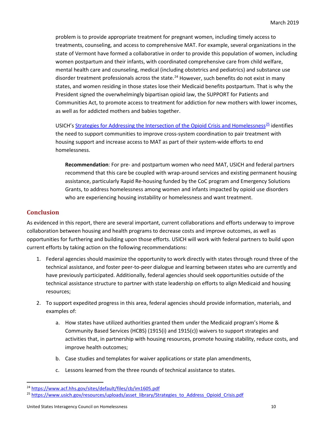problem is to provide appropriate treatment for pregnant women, including timely access to treatments, counseling, and access to comprehensive MAT. For example, several organizations in the state of Vermont have formed a collaborative in order to provide this population of women, including women postpartum and their infants, with coordinated comprehensive care from child welfare, mental health care and counseling, medical (including obstetrics and pediatrics) and substance use disorder treatment professionals across the state.<sup>[24](#page-9-0)</sup> However, such benefits do not exist in many states, and women residing in those states lose their Medicaid benefits postpartum. That is why the President signed the overwhelmingly bipartisan opioid law, the SUPPORT for Patients and Communities Act, to promote access to treatment for addiction for new mothers with lower incomes, as well as for addicted mothers and babies together.

USICH'[s Strategies for Addressing the Intersection of the Opioid Crisis and Homelessness](https://www.usich.gov/resources/uploads/asset_library/Strategies_to_Address_Opioid_Crisis.pdf)<sup>[25](#page-9-1)</sup> identifies the need to support communities to improve cross-system coordination to pair treatment with housing support and increase access to MAT as part of their system-wide efforts to end homelessness.

**Recommendation**: For pre- and postpartum women who need MAT, USICH and federal partners recommend that this care be coupled with wrap-around services and existing permanent housing assistance, particularly Rapid Re-housing funded by the CoC program and Emergency Solutions Grants, to address homelessness among women and infants impacted by opioid use disorders who are experiencing housing instability or homelessness and want treatment.

## **Conclusion**

As evidenced in this report, there are several important, current collaborations and efforts underway to improve collaboration between housing and health programs to decrease costs and improve outcomes, as well as opportunities for furthering and building upon those efforts. USICH will work with federal partners to build upon current efforts by taking action on the following recommendations:

- 1. Federal agencies should maximize the opportunity to work directly with states through round three of the technical assistance, and foster peer-to-peer dialogue and learning between states who are currently and have previously participated. Additionally, federal agencies should seek opportunities outside of the technical assistance structure to partner with state leadership on efforts to align Medicaid and housing resources;
- 2. To support expedited progress in this area, federal agencies should provide information, materials, and examples of:
	- a. How states have utilized authorities granted them under the Medicaid program's Home & Community Based Services (HCBS) (1915(i) and 1915(c)) waivers to support strategies and activities that, in partnership with housing resources, promote housing stability, reduce costs, and improve health outcomes;
	- b. Case studies and templates for waiver applications or state plan amendments,
	- c. Lessons learned from the three rounds of technical assistance to states.

<span id="page-9-0"></span> <sup>24</sup> <https://www.acf.hhs.gov/sites/default/files/cb/im1605.pdf>

<span id="page-9-1"></span><sup>&</sup>lt;sup>25</sup> [https://www.usich.gov/resources/uploads/asset\\_library/Strategies\\_to\\_Address\\_Opioid\\_Crisis.pdf](https://www.usich.gov/resources/uploads/asset_library/Strategies_to_Address_Opioid_Crisis.pdf)